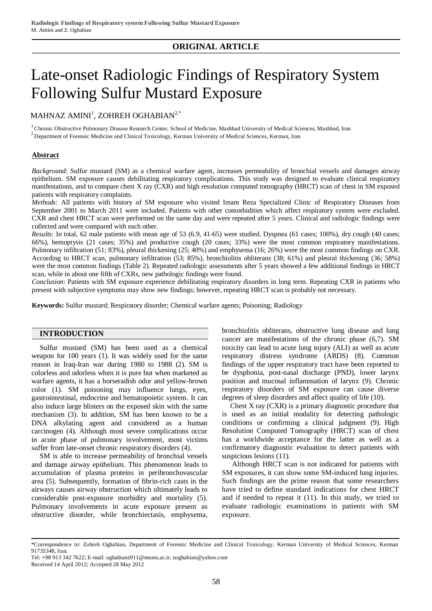# **ORIGINAL ARTICLE**

# Late-onset Radiologic Findings of Respiratory System Following Sulfur Mustard Exposure

 $\mathbf M$ AHNAZ AMINI $^1$ , ZOHREH OGHABIAN $^{2, *}$ 

<sup>1</sup> Chronic Obstructive Pulmonary Disease Research Center, School of Medicine, Mashhad University of Medical Sciences, Mashhad, Iran

 $2$  Department of Forensic Medicine and Clinical Toxicology, Kerman University of Medical Sciences, Kerman, Iran

# **Abstract**

*Background*: Sulfur mustard (SM) as a chemical warfare agent, increases permeability of bronchial vessels and damages airway epithelium. SM exposure causes debilitating respiratory complications. This study was designed to evaluate clinical respiratory manifestations, and to compare chest X ray (CXR) and high resolution computed tomography (HRCT) scan of chest in SM exposed patients with respiratory complaints.

*Methods*: All patients with history of SM exposure who visited Imam Reza Specialized Clinic of Respiratory Diseases from September 2001 to March 2011 were included. Patients with other comorbidities which affect respiratory system were excluded. CXR and chest HRCT scan were performed on the same day and were repeated after 5 years. Clinical and radiologic findings were collected and were compared with each other.

*Results*: In total, 62 male patients with mean age of 53 (6.9, 41-65) were studied. Dyspnea (61 cases; 100%), dry cough (40 cases; 66%), hemoptysis (21 cases; 35%) and productive cough (20 cases; 33%) were the most common respiratory manifestations. Pulmonary infiltration (51; 83%), pleural thickening (25; 40%) and emphysema (16; 26%) were the most common findings on CXR. According to HRCT scan, pulmonary infiltration (53; 85%), bronchiolitis obliterans (38; 61%) and pleural thickening (36; 58%) were the most common findings (Table 2). Repeated radiologic assessments after 5 years showed a few additional findings in HRCT scan, while in about one fifth of CXRs, new pathologic findings were found.

*Conclusion*: Patients with SM exposure experience debilitating respiratory disorders in long term. Repeating CXR in patients who present with subjective symptoms may show new findings; however, repeating HRCT scan is probably not necessary.

**Keywords:** Sulfur mustard; Respiratory disorder; Chemical warfare agents; Poisoning; Radiology

# **INTRODUCTION**

Sulfur mustard (SM) has been used as a chemical weapon for 100 years (1). It was widely used for the same reason in Iraq-Iran war during 1980 to 1988 (2). SM is colorless and odorless when it is pure but when marketed as warfare agents, it has a horseradish odor and yellow-brown color (1). SM poisoning may influence lungs, eyes, gastrointestinal, endocrine and hematopoietic system. It can also induce large blisters on the exposed skin with the same mechanism (3). In addition, SM has been known to be a DNA alkylating agent and considered as a human carcinogen (4). Although most severe complications occur in acute phase of pulmonary involvement, most victims suffer from late-onset chronic respiratory disorders (4).

SM is able to increase permeability of bronchial vessels and damage airway epithelium. This phenomenon leads to accumulation of plasma proteins in peribronchovascular area (5). Subsequently, formation of fibrin-rich casts in the airways causes airway obstruction which ultimately leads to considerable post-exposure morbidity and mortality (5). Pulmonary involvements in acute exposure present as obstructive disorder, while bronchiectasis, emphysema, bronchiolitis obliterans, obstructive lung disease and lung cancer are manifestations of the chronic phase (6,7). SM toxicity can lead to acute lung injury (ALI) as well as acute respiratory distress syndrome (ARDS) (8). Common findings of the upper respiratory tract have been reported to be dysphonia, post-nasal discharge (PND), lower larynx position and mucosal inflammation of larynx (9). Chronic respiratory disorders of SM exposure can cause diverse degrees of sleep disorders and affect quality of life (10).

Chest X ray (CXR) is a primary diagnostic procedure that is used as an initial modality for detecting pathologic conditions or confirming a clinical judgment (9). High Resolution Computed Tomography (HRCT) scan of chest has a worldwide acceptance for the latter as well as a confirmatory diagnostic evaluation to detect patients with suspicious lesions (11).

Although HRCT scan is not indicated for patients with SM exposures, it can show some SM-induced lung injuries. Such findings are the prime reason that some researchers have tried to define standard indications for chest HRCT and if needed to repeat it (11). In this study, we tried to evaluate radiologic examinations in patients with SM exposure.

<sup>\*</sup>Correspondence to: Zohreh Oghabian, Department of Forensic Medicine and Clinical Toxicology, Kerman University of Medical Sciences, Kerman 91735348, Iran.

Tel: +98 913 342 7622; E-mail: [oghabianz911@mums.ac.ir](mailto:oghabianz911@mums.ac.ir), [zoghabian@yahoo.com](mailto:zoghabian@yahoo.com) Received 14 April 2012; Accepted 28 May 2012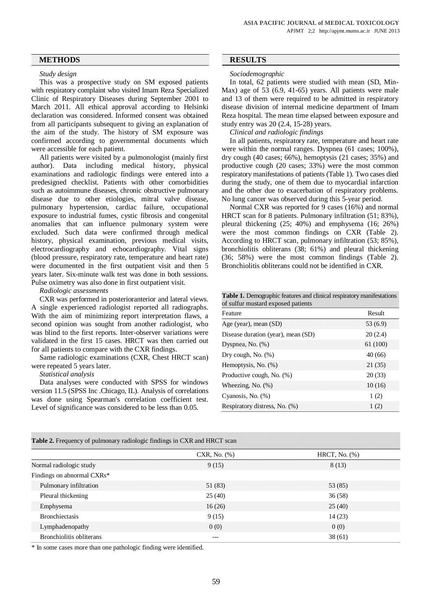# **METHODS RESULTS**

### *Study design*

This was a prospective study on SM exposed patients with respiratory complaint who visited Imam Reza Specialized Clinic of Respiratory Diseases during September 2001 to March 2011. All ethical approval according to Helsinki declaration was considered. Informed consent was obtained from all participants subsequent to giving an explanation of the aim of the study. The history of SM exposure was confirmed according to governmental documents which were accessible for each patient.

All patients were visited by a pulmonologist (mainly first author). Data including medical history, physical examinations and radiologic findings were entered into a predesigned checklist. Patients with other comorbidities such as autoimmune diseases, chronic obstructive pulmonary disease due to other etiologies, mitral valve disease, pulmonary hypertension, cardiac failure, occupational exposure to industrial fumes, cystic fibrosis and congenital anomalies that can influence pulmonary system were excluded. Such data were confirmed through medical history, physical examination, previous medical visits, electrocardiography and echocardiography. Vital signs (blood pressure, respiratory rate, temperature and heart rate) were documented in the first outpatient visit and then 5 years later. Six-minute walk test was done in both sessions. Pulse oximetry was also done in first outpatient visit.

*Radiologic assessments*

CXR was performed in posterioranterior and lateral views. A single experienced radiologist reported all radiographs. With the aim of minimizing report interpretation flaws, a second opinion was sought from another radiologist, who was blind to the first reports. Inter-observer variations were validated in the first 15 cases. HRCT was then carried out for all patients to compare with the CXR findings.

Same radiologic examinations (CXR, Chest HRCT scan) were repeated 5 years later.

#### *Statistical analysis*

Data analyses were conducted with SPSS for windows version 11.5 (SPSS Inc .Chicago, IL). Analysis of correlations was done using Spearman's correlation coefficient test. Level of significance was considered to be less than 0.05.

### *Sociodemographic*

In total, 62 patients were studied with mean (SD, Min-Max) age of 53 (6.9, 41-65) years. All patients were male and 13 of them were required to be admitted in respiratory disease division of internal medicine department of Imam Reza hospital. The mean time elapsed between exposure and study entry was 20 (2.4, 15-28) years.

# *Clinical and radiologic findings*

In all patients, respiratory rate, temperature and heart rate were within the normal ranges. Dyspnea (61 cases; 100%), dry cough (40 cases; 66%), hemoptysis (21 cases; 35%) and productive cough (20 cases; 33%) were the most common respiratory manifestations of patients (Table 1). Two cases died during the study, one of them due to myocardial infarction and the other due to exacerbation of respiratory problems. No lung cancer was observed during this 5-year period.

Normal CXR was reported for 9 cases (16%) and normal HRCT scan for 8 patients. Pulmonary infiltration (51; 83%), pleural thickening (25; 40%) and emphysema (16; 26%) were the most common findings on CXR (Table 2). According to HRCT scan, pulmonary infiltration (53; 85%), bronchiolitis obliterans (38; 61%) and pleural thickening (36; 58%) were the most common findings (Table 2). Bronchiolitis obliterans could not be identified in CXR.

#### **Table 1.** Demographic features and clinical respiratory manifestations of sulfur mustard exposed patients

| Feature                            | Result   |
|------------------------------------|----------|
| Age (year), mean (SD)              | 53 (6.9) |
| Disease duration (year), mean (SD) | 20(2.4)  |
| Dyspnea, No. $(\%)$                | 61 (100) |
| Dry cough, No. $(\%)$              | 40(66)   |
| Hemoptysis, No. (%)                | 21(35)   |
| Productive cough, No. (%)          | 20(33)   |
| Wheezing, No. $(\%)$               | 10(16)   |
| Cyanosis, No. (%)                  | 1(2)     |
| Respiratory distress, No. (%)      | 1(2)     |

| Table 2. Frequency of pulmonary radiologic findings in CXR and HRCT scan |  |  |  |
|--------------------------------------------------------------------------|--|--|--|
|                                                                          |  |  |  |

|                            | $CXR$ , No. $(\% )$ | HRCT, No. $(\%)$ |
|----------------------------|---------------------|------------------|
| Normal radiologic study    | 9(15)               | 8(13)            |
| Findings on abnormal CXRs* |                     |                  |
| Pulmonary infiltration     | 51 (83)             | 53 (85)          |
| Pleural thickening         | 25(40)              | 36(58)           |
| Emphysema                  | 16(26)              | 25(40)           |
| <b>Bronchiectasis</b>      | 9(15)               | 14(23)           |
| Lymphadenopathy            | 0(0)                | 0(0)             |
| Bronchiolitis obliterans   | ---                 | 38(61)           |

\* In some cases more than one pathologic finding were identified.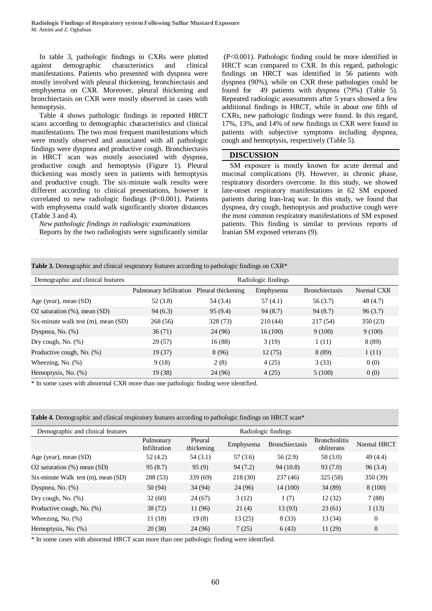In table 3, pathologic findings in CXRs were plotted against demographic characteristics and clinical manifestations. Patients who presented with dyspnea were mostly involved with pleural thickening, bronchiectasis and emphysema on CXR. Moreover, pleural thickening and bronchiectasis on CXR were mostly observed in cases with hemoptysis.

Table 4 shows pathologic findings in reported HRCT scans according to demographic characteristics and clinical manifestations. The two most frequent manifestations which were mostly observed and associated with all pathologic findings were dyspnea and productive cough. Bronchiectasis in HRCT scan was mostly associated with dyspnea, productive cough and hemoptysis (Figure 1). Pleural thickening was mostly seen in patients with hemoptysis and productive cough. The six-minute walk results were different according to clinical presentations, however it correlated to new radiologic findings (P<0.001). Patients with emphysema could walk significantly shorter distances (Table 3 and 4).

*New pathologic findings in radiologic examinations* Reports by the two radiologists were significantly similar

(P<0.001). Pathologic finding could be more identified in HRCT scan compared to CXR. In this regard, pathologic findings on HRCT was identified in 56 patients with dyspnea (90%), while on CXR these pathologies could be found for 49 patients with dyspnea (79%) (Table 5). Repeated radiologic assessments after 5 years showed a few additional findings in HRCT, while in about one fifth of CXRs, new pathologic findings were found. In this regard, 17%, 13%, and 14% of new findings in CXR were found in patients with subjective symptoms including dyspnea, cough and hemoptysis, respectively (Table 5).

# **DISCUSSION**

SM exposure is mostly known for acute dermal and mucosal complications (9). However, in chronic phase, respiratory disorders overcome. In this study, we showed late-onset respiratory manifestations in 62 SM exposed patients during Iran-Iraq war. In this study, we found that dyspnea, dry cough, hemoptysis and productive cough were the most common respiratory manifestations of SM exposed patients. This finding is similar to previous reports of Iranian SM exposed veterans (9).

**Table 3.** Demographic and clinical respiratory features according to pathologic findings on CXR\*

| Demographic and clinical features   | Radiologic findings                       |          |           |                       |            |
|-------------------------------------|-------------------------------------------|----------|-----------|-----------------------|------------|
|                                     | Pulmonary Infiltration Pleural thickening |          | Emphysema | <b>Bronchiectasis</b> | Normal CXR |
| Age (year), mean $(SD)$             | 52(3.8)                                   | 54 (3.4) | 57(4.1)   | 56 (3.7)              | 48 (4.7)   |
| O2 saturation $(\%)$ , mean $(SD)$  | 94(6.3)                                   | 95(9.4)  | 94(8.7)   | 94 (8.7)              | 96(3.7)    |
| Six-minute walk test (m), mean (SD) | 268(56)                                   | 328 (73) | 210(44)   | 217(54)               | 350(23)    |
| Dyspnea, No. (%)                    | 36(71)                                    | 24 (96)  | 16(100)   | 9(100)                | 9(100)     |
| Dry cough, No. $(\%)$               | 29 (57)                                   | 16(88)   | 3(19)     | 1(11)                 | 8 (89)     |
| Productive cough, No. (%)           | 19(37)                                    | 8 (96)   | 12(75)    | 8(89)                 | 1(11)      |
| Wheezing, No. $(\%)$                | 9(18)                                     | 2(8)     | 4(25)     | 3(33)                 | 0(0)       |
| Hemoptysis, No. (%)                 | 19 (38)                                   | 24 (96)  | 4(25)     | 5(100)                | 0(0)       |

\* In some cases with abnormal CXR more than one pathologic finding were identified.

**Table 4.** Demographic and clinical respiratory features according to pathologic findings on HRCT scan\*

| Demographic and clinical features   | Radiologic findings       |                       |           |                |                                    |                |
|-------------------------------------|---------------------------|-----------------------|-----------|----------------|------------------------------------|----------------|
|                                     | Pulmonary<br>Infiltration | Pleural<br>thickening | Emphysema | Bronchiectasis | <b>Bronchiolitis</b><br>obliterans | Normal HRCT    |
| Age (year), mean (SD)               | 52 (4.2)                  | 54 (3.1)              | 57(3.6)   | 56(2.9)        | 58 (3.0)                           | 49 (4.4)       |
| O2 saturation $(\%)$ mean $(SD)$    | 95(8.7)                   | 95(9)                 | 94(7.2)   | 94 (10.8)      | 93(7.0)                            | 96(3.4)        |
| Six-minute Walk test (m), mean (SD) | 288 (53)                  | 339(69)               | 218(30)   | 237(46)        | 325 (58)                           | 350 (39)       |
| Dyspnea, No. $(\%)$                 | 50 (94)                   | 34 (94)               | 24 (96)   | 14 (100)       | 34(89)                             | 8 (100)        |
| Dry cough, No. $(\%)$               | 32(60)                    | 24(67)                | 3(12)     | 1(7)           | 12(32)                             | 7(88)          |
| Productive cough, No. (%)           | 38 (72)                   | 11 (96)               | 21(4)     | 13(93)         | 23(61)                             | 1(13)          |
| Wheezing, No. $(\%)$                | 11(18)                    | 19(8)                 | 13(25)    | 8(33)          | 13(34)                             | $\overline{0}$ |
| Hemoptysis, No. (%)                 | 20(38)                    | 24 (96)               | 7(25)     | 6(43)          | 11(29)                             | 0              |

\* In some cases with abnormal HRCT scan more than one pathologic finding were identified.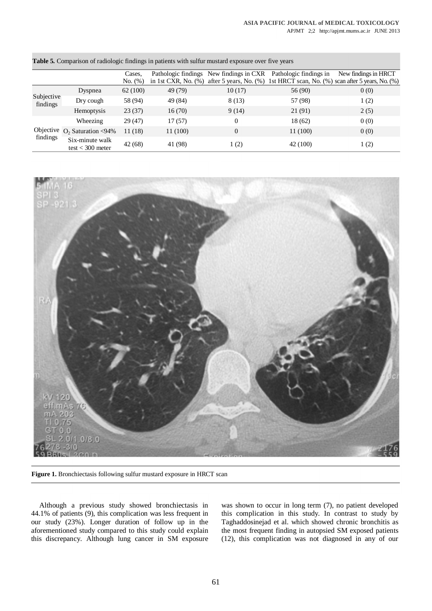|                        |                                       | Cases.  |                        | Pathologic findings New findings in CXR | Pathologic findings in | New findings in HRCT                                                      |
|------------------------|---------------------------------------|---------|------------------------|-----------------------------------------|------------------------|---------------------------------------------------------------------------|
|                        |                                       | No. (%) | in 1st CXR, No. $(\%)$ |                                         |                        | after 5 years, No. (%) 1st HRCT scan, No. (%) scan after 5 years, No. (%) |
| Subjective<br>findings | Dyspnea                               | 62(100) | 49 (79)                | 10(17)                                  | 56 (90)                | 0(0)                                                                      |
|                        | Dry cough                             | 58 (94) | 49 (84)                | 8(13)                                   | 57 (98)                | 1(2)                                                                      |
|                        | Hemoptysis                            | 23(37)  | 16(70)                 | 9(14)                                   | 21 (91)                | 2(5)                                                                      |
| findings               | Wheezing                              | 29(47)  | 17(57)                 | $\Omega$                                | 18 (62)                | 0(0)                                                                      |
|                        | Objective $O_2$ Saturation <94%       | 11(18)  | 11 (100)               | $\overline{0}$                          | 11 (100)               | 0(0)                                                                      |
|                        | Six-minute walk<br>test $<$ 300 meter | 42(68)  | 41 (98)                | 1(2)                                    | 42 (100)               | 1(2)                                                                      |

**Table 5.** Comparison of radiologic findings in patients with sulfur mustard exposure over five years



**Figure 1.** Bronchiectasis following sulfur mustard exposure in HRCT scan

Although a previous study showed bronchiectasis in 44.1% of patients (9), this complication was less frequent in our study (23%). Longer duration of follow up in the aforementioned study compared to this study could explain this discrepancy. Although lung cancer in SM exposure was shown to occur in long term (7), no patient developed this complication in this study. In contrast to study by Taghaddosinejad et al. which showed chronic bronchitis as the most frequent finding in autopsied SM exposed patients (12), this complication was not diagnosed in any of our